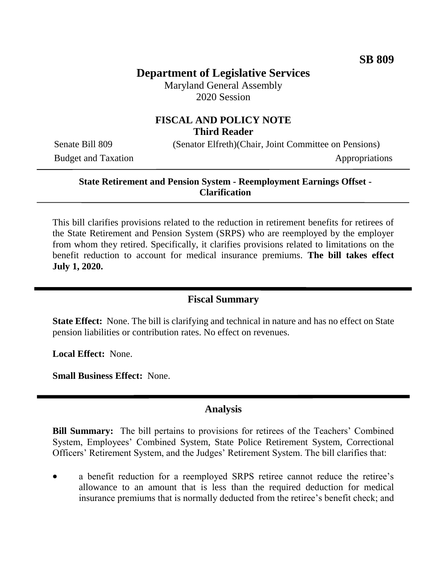# **Department of Legislative Services**

Maryland General Assembly 2020 Session

## **FISCAL AND POLICY NOTE Third Reader**

Budget and Taxation Appropriations

Senate Bill 809 (Senator Elfreth)(Chair, Joint Committee on Pensions)

### **State Retirement and Pension System - Reemployment Earnings Offset - Clarification**

This bill clarifies provisions related to the reduction in retirement benefits for retirees of the State Retirement and Pension System (SRPS) who are reemployed by the employer from whom they retired. Specifically, it clarifies provisions related to limitations on the benefit reduction to account for medical insurance premiums. **The bill takes effect July 1, 2020.** 

### **Fiscal Summary**

**State Effect:** None. The bill is clarifying and technical in nature and has no effect on State pension liabilities or contribution rates. No effect on revenues.

**Local Effect:** None.

**Small Business Effect:** None.

#### **Analysis**

**Bill Summary:** The bill pertains to provisions for retirees of the Teachers' Combined System, Employees' Combined System, State Police Retirement System, Correctional Officers' Retirement System, and the Judges' Retirement System. The bill clarifies that:

 a benefit reduction for a reemployed SRPS retiree cannot reduce the retiree's allowance to an amount that is less than the required deduction for medical insurance premiums that is normally deducted from the retiree's benefit check; and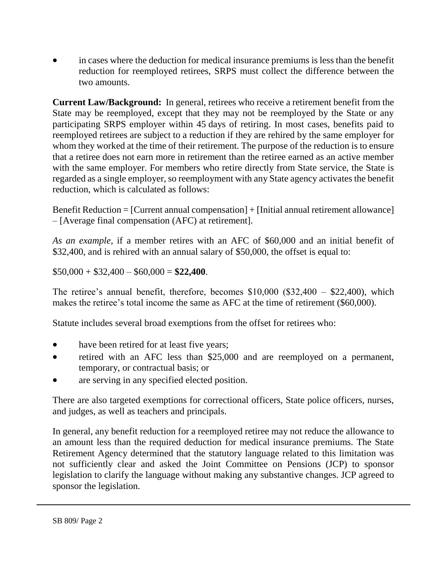in cases where the deduction for medical insurance premiums is less than the benefit reduction for reemployed retirees, SRPS must collect the difference between the two amounts.

**Current Law/Background:** In general, retirees who receive a retirement benefit from the State may be reemployed, except that they may not be reemployed by the State or any participating SRPS employer within 45 days of retiring. In most cases, benefits paid to reemployed retirees are subject to a reduction if they are rehired by the same employer for whom they worked at the time of their retirement. The purpose of the reduction is to ensure that a retiree does not earn more in retirement than the retiree earned as an active member with the same employer. For members who retire directly from State service, the State is regarded as a single employer, so reemployment with any State agency activates the benefit reduction, which is calculated as follows:

Benefit Reduction = [Current annual compensation] + [Initial annual retirement allowance] – [Average final compensation (AFC) at retirement].

*As an example*, if a member retires with an AFC of \$60,000 and an initial benefit of \$32,400, and is rehired with an annual salary of \$50,000, the offset is equal to:

 $$50,000 + $32,400 - $60,000 = $22,400.$ 

The retiree's annual benefit, therefore, becomes \$10,000 (\$32,400 – \$22,400), which makes the retiree's total income the same as AFC at the time of retirement (\$60,000).

Statute includes several broad exemptions from the offset for retirees who:

- have been retired for at least five years;
- retired with an AFC less than \$25,000 and are reemployed on a permanent, temporary, or contractual basis; or
- are serving in any specified elected position.

There are also targeted exemptions for correctional officers, State police officers, nurses, and judges, as well as teachers and principals.

In general, any benefit reduction for a reemployed retiree may not reduce the allowance to an amount less than the required deduction for medical insurance premiums. The State Retirement Agency determined that the statutory language related to this limitation was not sufficiently clear and asked the Joint Committee on Pensions (JCP) to sponsor legislation to clarify the language without making any substantive changes. JCP agreed to sponsor the legislation.